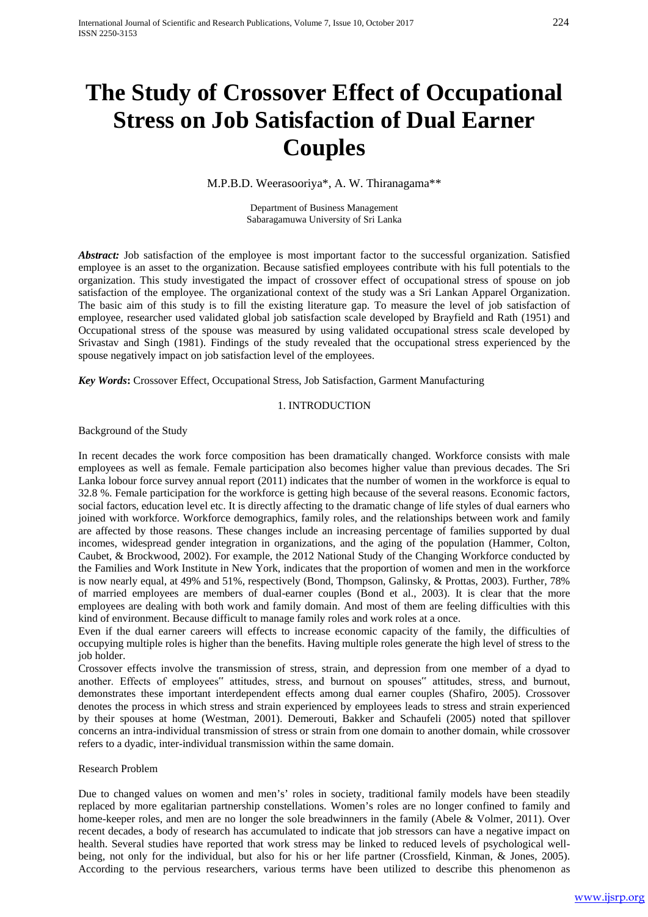# **The Study of Crossover Effect of Occupational Stress on Job Satisfaction of Dual Earner Couples**

M.P.B.D. Weerasooriya\*, A. W. Thiranagama\*\*

Department of Business Management Sabaragamuwa University of Sri Lanka

Abstract: Job satisfaction of the employee is most important factor to the successful organization. Satisfied employee is an asset to the organization. Because satisfied employees contribute with his full potentials to the organization. This study investigated the impact of crossover effect of occupational stress of spouse on job satisfaction of the employee. The organizational context of the study was a Sri Lankan Apparel Organization. The basic aim of this study is to fill the existing literature gap. To measure the level of job satisfaction of employee, researcher used validated global job satisfaction scale developed by Brayfield and Rath (1951) and Occupational stress of the spouse was measured by using validated occupational stress scale developed by Srivastav and Singh (1981). Findings of the study revealed that the occupational stress experienced by the spouse negatively impact on job satisfaction level of the employees.

*Key Words***:** Crossover Effect, Occupational Stress, Job Satisfaction, Garment Manufacturing

#### 1. INTRODUCTION

Background of the Study

In recent decades the work force composition has been dramatically changed. Workforce consists with male employees as well as female. Female participation also becomes higher value than previous decades. The Sri Lanka lobour force survey annual report (2011) indicates that the number of women in the workforce is equal to 32.8 %. Female participation for the workforce is getting high because of the several reasons. Economic factors, social factors, education level etc. It is directly affecting to the dramatic change of life styles of dual earners who joined with workforce. Workforce demographics, family roles, and the relationships between work and family are affected by those reasons. These changes include an increasing percentage of families supported by dual incomes, widespread gender integration in organizations, and the aging of the population (Hammer, Colton, Caubet, & Brockwood, 2002). For example, the 2012 National Study of the Changing Workforce conducted by the Families and Work Institute in New York, indicates that the proportion of women and men in the workforce is now nearly equal, at 49% and 51%, respectively (Bond, Thompson, Galinsky, & Prottas, 2003). Further, 78% of married employees are members of dual-earner couples (Bond et al., 2003). It is clear that the more employees are dealing with both work and family domain. And most of them are feeling difficulties with this kind of environment. Because difficult to manage family roles and work roles at a once.

Even if the dual earner careers will effects to increase economic capacity of the family, the difficulties of occupying multiple roles is higher than the benefits. Having multiple roles generate the high level of stress to the job holder.

Crossover effects involve the transmission of stress, strain, and depression from one member of a dyad to another. Effects of employees" attitudes, stress, and burnout on spouses" attitudes, stress, and burnout, demonstrates these important interdependent effects among dual earner couples (Shafiro, 2005). Crossover denotes the process in which stress and strain experienced by employees leads to stress and strain experienced by their spouses at home (Westman, 2001). Demerouti, Bakker and Schaufeli (2005) noted that spillover concerns an intra-individual transmission of stress or strain from one domain to another domain, while crossover refers to a dyadic, inter-individual transmission within the same domain.

#### Research Problem

Due to changed values on women and men's' roles in society, traditional family models have been steadily replaced by more egalitarian partnership constellations. Women's roles are no longer confined to family and home-keeper roles, and men are no longer the sole breadwinners in the family (Abele & Volmer, 2011). Over recent decades, a body of research has accumulated to indicate that job stressors can have a negative impact on health. Several studies have reported that work stress may be linked to reduced levels of psychological wellbeing, not only for the individual, but also for his or her life partner (Crossfield, Kinman, & Jones, 2005). According to the pervious researchers, various terms have been utilized to describe this phenomenon as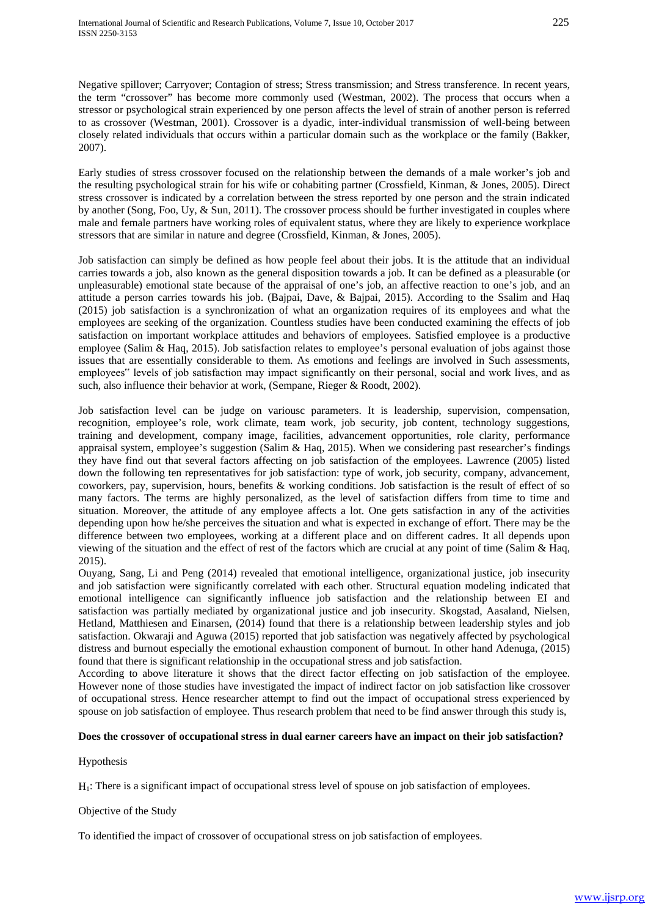Negative spillover; Carryover; Contagion of stress; Stress transmission; and Stress transference. In recent years, the term "crossover" has become more commonly used (Westman, 2002). The process that occurs when a stressor or psychological strain experienced by one person affects the level of strain of another person is referred to as crossover (Westman, 2001). Crossover is a dyadic, inter-individual transmission of well-being between closely related individuals that occurs within a particular domain such as the workplace or the family (Bakker, 2007).

Early studies of stress crossover focused on the relationship between the demands of a male worker's job and the resulting psychological strain for his wife or cohabiting partner (Crossfield, Kinman, & Jones, 2005). Direct stress crossover is indicated by a correlation between the stress reported by one person and the strain indicated by another (Song, Foo, Uy, & Sun, 2011). The crossover process should be further investigated in couples where male and female partners have working roles of equivalent status, where they are likely to experience workplace stressors that are similar in nature and degree (Crossfield, Kinman, & Jones, 2005).

Job satisfaction can simply be defined as how people feel about their jobs. It is the attitude that an individual carries towards a job, also known as the general disposition towards a job. It can be defined as a pleasurable (or unpleasurable) emotional state because of the appraisal of one's job, an affective reaction to one's job, and an attitude a person carries towards his job. (Bajpai, Dave, & Bajpai, 2015). According to the Ssalim and Haq (2015) job satisfaction is a synchronization of what an organization requires of its employees and what the employees are seeking of the organization. Countless studies have been conducted examining the effects of job satisfaction on important workplace attitudes and behaviors of employees. Satisfied employee is a productive employee (Salim & Haq, 2015). Job satisfaction relates to employee's personal evaluation of jobs against those issues that are essentially considerable to them. As emotions and feelings are involved in Such assessments, employees" levels of job satisfaction may impact significantly on their personal, social and work lives, and as such, also influence their behavior at work, (Sempane, Rieger & Roodt, 2002).

Job satisfaction level can be judge on variousc parameters. It is leadership, supervision, compensation, recognition, employee's role, work climate, team work, job security, job content, technology suggestions, training and development, company image, facilities, advancement opportunities, role clarity, performance appraisal system, employee's suggestion (Salim & Haq, 2015). When we considering past researcher's findings they have find out that several factors affecting on job satisfaction of the employees. Lawrence (2005) listed down the following ten representatives for job satisfaction: type of work, job security, company, advancement, coworkers, pay, supervision, hours, benefits & working conditions. Job satisfaction is the result of effect of so many factors. The terms are highly personalized, as the level of satisfaction differs from time to time and situation. Moreover, the attitude of any employee affects a lot. One gets satisfaction in any of the activities depending upon how he/she perceives the situation and what is expected in exchange of effort. There may be the difference between two employees, working at a different place and on different cadres. It all depends upon viewing of the situation and the effect of rest of the factors which are crucial at any point of time (Salim & Haq, 2015).

Ouyang, Sang, Li and Peng (2014) revealed that emotional intelligence, organizational justice, job insecurity and job satisfaction were significantly correlated with each other. Structural equation modeling indicated that emotional intelligence can significantly influence job satisfaction and the relationship between EI and satisfaction was partially mediated by organizational justice and job insecurity. Skogstad, Aasaland, Nielsen, Hetland, Matthiesen and Einarsen, (2014) found that there is a relationship between leadership styles and job satisfaction. Okwaraji and Aguwa (2015) reported that job satisfaction was negatively affected by psychological distress and burnout especially the emotional exhaustion component of burnout. In other hand Adenuga, (2015) found that there is significant relationship in the occupational stress and job satisfaction.

According to above literature it shows that the direct factor effecting on job satisfaction of the employee. However none of those studies have investigated the impact of indirect factor on job satisfaction like crossover of occupational stress. Hence researcher attempt to find out the impact of occupational stress experienced by spouse on job satisfaction of employee. Thus research problem that need to be find answer through this study is,

# **Does the crossover of occupational stress in dual earner careers have an impact on their job satisfaction?**

# Hypothesis

H1: There is a significant impact of occupational stress level of spouse on job satisfaction of employees.

# Objective of the Study

To identified the impact of crossover of occupational stress on job satisfaction of employees.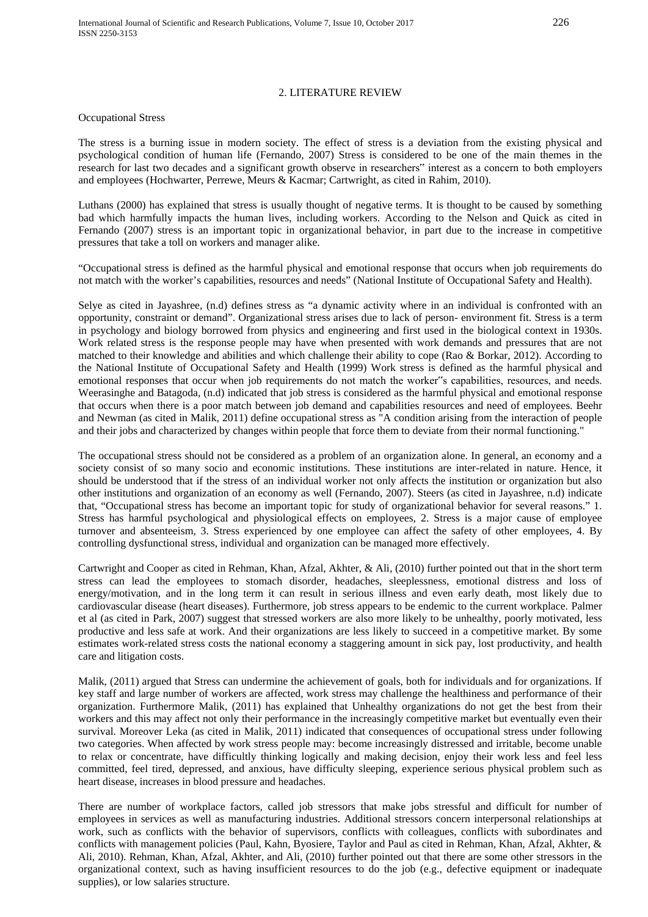# 2. LITERATURE REVIEW

#### Occupational Stress

The stress is a burning issue in modern society. The effect of stress is a deviation from the existing physical and psychological condition of human life (Fernando, 2007) Stress is considered to be one of the main themes in the research for last two decades and a significant growth observe in researchers" interest as a concern to both employers and employees (Hochwarter, Perrewe, Meurs & Kacmar; Cartwright, as cited in Rahim, 2010).

Luthans (2000) has explained that stress is usually thought of negative terms. It is thought to be caused by something bad which harmfully impacts the human lives, including workers. According to the Nelson and Quick as cited in Fernando (2007) stress is an important topic in organizational behavior, in part due to the increase in competitive pressures that take a toll on workers and manager alike.

"Occupational stress is defined as the harmful physical and emotional response that occurs when job requirements do not match with the worker's capabilities, resources and needs" (National Institute of Occupational Safety and Health).

Selye as cited in Jayashree, (n.d) defines stress as "a dynamic activity where in an individual is confronted with an opportunity, constraint or demand". Organizational stress arises due to lack of person- environment fit. Stress is a term in psychology and biology borrowed from physics and engineering and first used in the biological context in 1930s. Work related stress is the response people may have when presented with work demands and pressures that are not matched to their knowledge and abilities and which challenge their ability to cope (Rao & Borkar, 2012). According to the National Institute of Occupational Safety and Health (1999) Work stress is defined as the harmful physical and emotional responses that occur when job requirements do not match the worker"s capabilities, resources, and needs. Weerasinghe and Batagoda, (n.d) indicated that job stress is considered as the harmful physical and emotional response that occurs when there is a poor match between job demand and capabilities resources and need of employees. Beehr and Newman (as cited in Malik, 2011) define occupational stress as "A condition arising from the interaction of people and their jobs and characterized by changes within people that force them to deviate from their normal functioning."

The occupational stress should not be considered as a problem of an organization alone. In general, an economy and a society consist of so many socio and economic institutions. These institutions are inter-related in nature. Hence, it should be understood that if the stress of an individual worker not only affects the institution or organization but also other institutions and organization of an economy as well (Fernando, 2007). Steers (as cited in Jayashree, n.d) indicate that, "Occupational stress has become an important topic for study of organizational behavior for several reasons." 1. Stress has harmful psychological and physiological effects on employees, 2. Stress is a major cause of employee turnover and absenteeism, 3. Stress experienced by one employee can affect the safety of other employees, 4. By controlling dysfunctional stress, individual and organization can be managed more effectively.

Cartwright and Cooper as cited in Rehman, Khan, Afzal, Akhter, & Ali, (2010) further pointed out that in the short term stress can lead the employees to stomach disorder, headaches, sleeplessness, emotional distress and loss of energy/motivation, and in the long term it can result in serious illness and even early death, most likely due to cardiovascular disease (heart diseases). Furthermore, job stress appears to be endemic to the current workplace. Palmer et al (as cited in Park, 2007) suggest that stressed workers are also more likely to be unhealthy, poorly motivated, less productive and less safe at work. And their organizations are less likely to succeed in a competitive market. By some estimates work-related stress costs the national economy a staggering amount in sick pay, lost productivity, and health care and litigation costs.

Malik, (2011) argued that Stress can undermine the achievement of goals, both for individuals and for organizations. If key staff and large number of workers are affected, work stress may challenge the healthiness and performance of their organization. Furthermore Malik, (2011) has explained that Unhealthy organizations do not get the best from their workers and this may affect not only their performance in the increasingly competitive market but eventually even their survival. Moreover Leka (as cited in Malik, 2011) indicated that consequences of occupational stress under following two categories. When affected by work stress people may: become increasingly distressed and irritable, become unable to relax or concentrate, have difficultly thinking logically and making decision, enjoy their work less and feel less committed, feel tired, depressed, and anxious, have difficulty sleeping, experience serious physical problem such as heart disease, increases in blood pressure and headaches.

There are number of workplace factors, called job stressors that make jobs stressful and difficult for number of employees in services as well as manufacturing industries. Additional stressors concern interpersonal relationships at work, such as conflicts with the behavior of supervisors, conflicts with colleagues, conflicts with subordinates and conflicts with management policies (Paul, Kahn, Byosiere, Taylor and Paul as cited in Rehman, Khan, Afzal, Akhter, & Ali, 2010). Rehman, Khan, Afzal, Akhter, and Ali, (2010) further pointed out that there are some other stressors in the organizational context, such as having insufficient resources to do the job (e.g., defective equipment or inadequate supplies), or low salaries structure.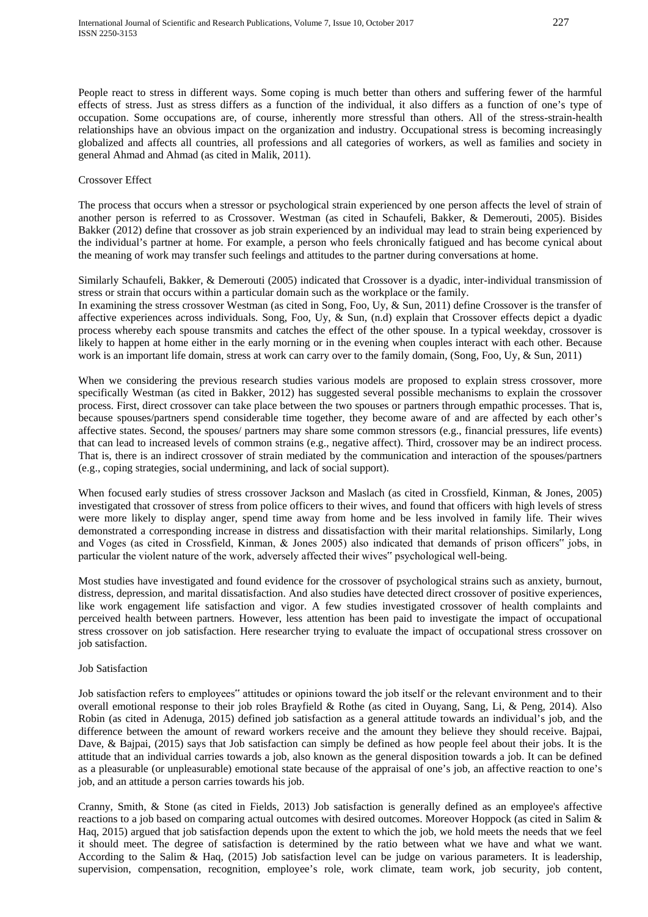People react to stress in different ways. Some coping is much better than others and suffering fewer of the harmful effects of stress. Just as stress differs as a function of the individual, it also differs as a function of one's type of occupation. Some occupations are, of course, inherently more stressful than others. All of the stress-strain-health relationships have an obvious impact on the organization and industry. Occupational stress is becoming increasingly globalized and affects all countries, all professions and all categories of workers, as well as families and society in general Ahmad and Ahmad (as cited in Malik, 2011).

## Crossover Effect

The process that occurs when a stressor or psychological strain experienced by one person affects the level of strain of another person is referred to as Crossover. Westman (as cited in Schaufeli, Bakker, & Demerouti, 2005). Bisides Bakker (2012) define that crossover as job strain experienced by an individual may lead to strain being experienced by the individual's partner at home. For example, a person who feels chronically fatigued and has become cynical about the meaning of work may transfer such feelings and attitudes to the partner during conversations at home.

Similarly Schaufeli, Bakker, & Demerouti (2005) indicated that Crossover is a dyadic, inter-individual transmission of stress or strain that occurs within a particular domain such as the workplace or the family.

In examining the stress crossover Westman (as cited in Song, Foo, Uy, & Sun, 2011) define Crossover is the transfer of affective experiences across individuals. Song, Foo, Uy, & Sun, (n.d) explain that Crossover effects depict a dyadic process whereby each spouse transmits and catches the effect of the other spouse. In a typical weekday, crossover is likely to happen at home either in the early morning or in the evening when couples interact with each other. Because work is an important life domain, stress at work can carry over to the family domain, (Song, Foo, Uy, & Sun, 2011)

When we considering the previous research studies various models are proposed to explain stress crossover, more specifically Westman (as cited in Bakker, 2012) has suggested several possible mechanisms to explain the crossover process. First, direct crossover can take place between the two spouses or partners through empathic processes. That is, because spouses/partners spend considerable time together, they become aware of and are affected by each other's affective states. Second, the spouses/ partners may share some common stressors (e.g., financial pressures, life events) that can lead to increased levels of common strains (e.g., negative affect). Third, crossover may be an indirect process. That is, there is an indirect crossover of strain mediated by the communication and interaction of the spouses/partners (e.g., coping strategies, social undermining, and lack of social support).

When focused early studies of stress crossover Jackson and Maslach (as cited in Crossfield, Kinman, & Jones, 2005) investigated that crossover of stress from police officers to their wives, and found that officers with high levels of stress were more likely to display anger, spend time away from home and be less involved in family life. Their wives demonstrated a corresponding increase in distress and dissatisfaction with their marital relationships. Similarly, Long and Voges (as cited in Crossfield, Kinman, & Jones 2005) also indicated that demands of prison officers" jobs, in particular the violent nature of the work, adversely affected their wives" psychological well-being.

Most studies have investigated and found evidence for the crossover of psychological strains such as anxiety, burnout, distress, depression, and marital dissatisfaction. And also studies have detected direct crossover of positive experiences, like work engagement life satisfaction and vigor. A few studies investigated crossover of health complaints and perceived health between partners. However, less attention has been paid to investigate the impact of occupational stress crossover on job satisfaction. Here researcher trying to evaluate the impact of occupational stress crossover on job satisfaction.

#### Job Satisfaction

Job satisfaction refers to employees" attitudes or opinions toward the job itself or the relevant environment and to their overall emotional response to their job roles Brayfield & Rothe (as cited in Ouyang, Sang, Li, & Peng, 2014). Also Robin (as cited in Adenuga, 2015) defined job satisfaction as a general attitude towards an individual's job, and the difference between the amount of reward workers receive and the amount they believe they should receive. Bajpai, Dave, & Bajpai, (2015) says that Job satisfaction can simply be defined as how people feel about their jobs. It is the attitude that an individual carries towards a job, also known as the general disposition towards a job. It can be defined as a pleasurable (or unpleasurable) emotional state because of the appraisal of one's job, an affective reaction to one's job, and an attitude a person carries towards his job.

Cranny, Smith, & Stone (as cited in Fields, 2013) Job satisfaction is generally defined as an employee's affective reactions to a job based on comparing actual outcomes with desired outcomes. Moreover Hoppock (as cited in Salim & Haq, 2015) argued that job satisfaction depends upon the extent to which the job, we hold meets the needs that we feel it should meet. The degree of satisfaction is determined by the ratio between what we have and what we want. According to the Salim & Haq, (2015) Job satisfaction level can be judge on various parameters. It is leadership, supervision, compensation, recognition, employee's role, work climate, team work, job security, job content,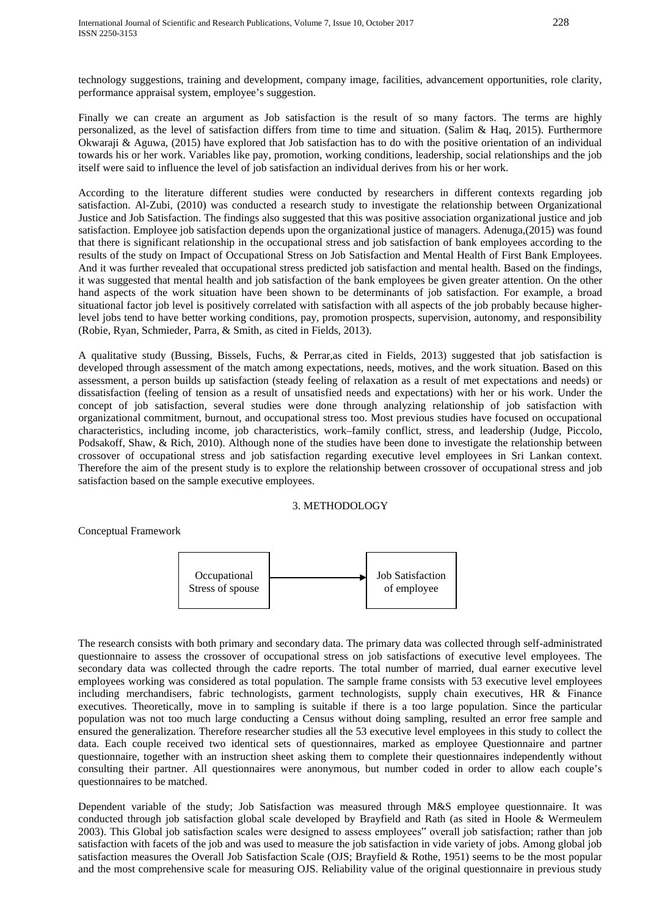technology suggestions, training and development, company image, facilities, advancement opportunities, role clarity, performance appraisal system, employee's suggestion.

Finally we can create an argument as Job satisfaction is the result of so many factors. The terms are highly personalized, as the level of satisfaction differs from time to time and situation. (Salim & Haq, 2015). Furthermore Okwaraji & Aguwa, (2015) have explored that Job satisfaction has to do with the positive orientation of an individual towards his or her work. Variables like pay, promotion, working conditions, leadership, social relationships and the job itself were said to influence the level of job satisfaction an individual derives from his or her work.

According to the literature different studies were conducted by researchers in different contexts regarding job satisfaction. Al-Zubi, (2010) was conducted a research study to investigate the relationship between Organizational Justice and Job Satisfaction. The findings also suggested that this was positive association organizational justice and job satisfaction. Employee job satisfaction depends upon the organizational justice of managers. Adenuga,(2015) was found that there is significant relationship in the occupational stress and job satisfaction of bank employees according to the results of the study on Impact of Occupational Stress on Job Satisfaction and Mental Health of First Bank Employees. And it was further revealed that occupational stress predicted job satisfaction and mental health. Based on the findings, it was suggested that mental health and job satisfaction of the bank employees be given greater attention. On the other hand aspects of the work situation have been shown to be determinants of job satisfaction. For example, a broad situational factor job level is positively correlated with satisfaction with all aspects of the job probably because higherlevel jobs tend to have better working conditions, pay, promotion prospects, supervision, autonomy, and responsibility (Robie, Ryan, Schmieder, Parra, & Smith, as cited in Fields, 2013).

A qualitative study (Bussing, Bissels, Fuchs, & Perrar,as cited in Fields, 2013) suggested that job satisfaction is developed through assessment of the match among expectations, needs, motives, and the work situation. Based on this assessment, a person builds up satisfaction (steady feeling of relaxation as a result of met expectations and needs) or dissatisfaction (feeling of tension as a result of unsatisfied needs and expectations) with her or his work. Under the concept of job satisfaction, several studies were done through analyzing relationship of job satisfaction with organizational commitment, burnout, and occupational stress too. Most previous studies have focused on occupational characteristics, including income, job characteristics, work–family conflict, stress, and leadership (Judge, Piccolo, Podsakoff, Shaw, & Rich, 2010). Although none of the studies have been done to investigate the relationship between crossover of occupational stress and job satisfaction regarding executive level employees in Sri Lankan context. Therefore the aim of the present study is to explore the relationship between crossover of occupational stress and job satisfaction based on the sample executive employees.

#### 3. METHODOLOGY

Conceptual Framework



The research consists with both primary and secondary data. The primary data was collected through self-administrated questionnaire to assess the crossover of occupational stress on job satisfactions of executive level employees. The secondary data was collected through the cadre reports. The total number of married, dual earner executive level employees working was considered as total population. The sample frame consists with 53 executive level employees including merchandisers, fabric technologists, garment technologists, supply chain executives, HR & Finance executives. Theoretically, move in to sampling is suitable if there is a too large population. Since the particular population was not too much large conducting a Census without doing sampling, resulted an error free sample and ensured the generalization. Therefore researcher studies all the 53 executive level employees in this study to collect the data. Each couple received two identical sets of questionnaires, marked as employee Questionnaire and partner questionnaire, together with an instruction sheet asking them to complete their questionnaires independently without consulting their partner. All questionnaires were anonymous, but number coded in order to allow each couple's questionnaires to be matched.

Dependent variable of the study; Job Satisfaction was measured through M&S employee questionnaire. It was conducted through job satisfaction global scale developed by Brayfield and Rath (as sited in Hoole & Wermeulem 2003). This Global job satisfaction scales were designed to assess employees" overall job satisfaction; rather than job satisfaction with facets of the job and was used to measure the job satisfaction in vide variety of jobs. Among global job satisfaction measures the Overall Job Satisfaction Scale (OJS; Brayfield & Rothe, 1951) seems to be the most popular and the most comprehensive scale for measuring OJS. Reliability value of the original questionnaire in previous study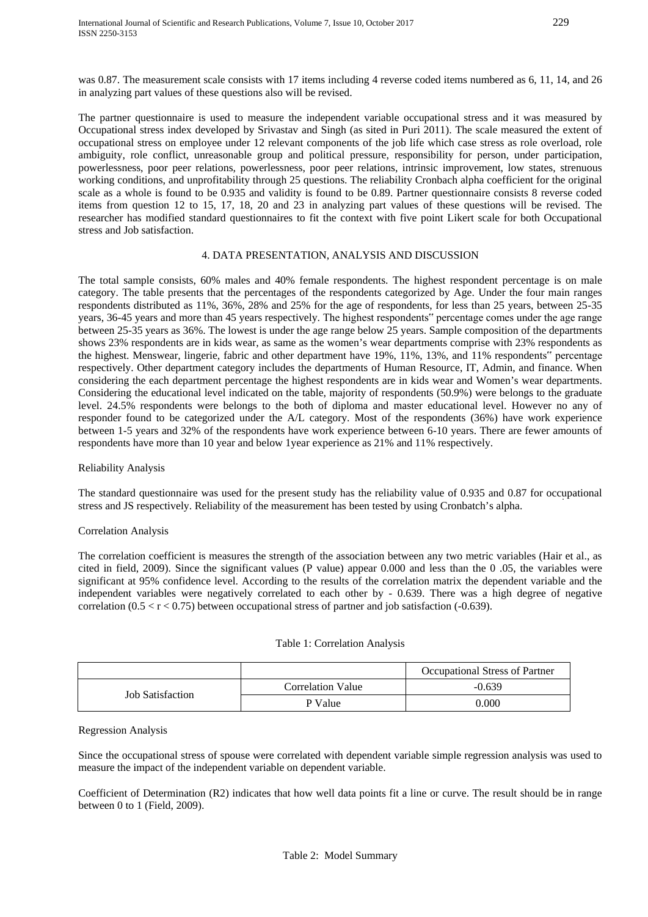was 0.87. The measurement scale consists with 17 items including 4 reverse coded items numbered as 6, 11, 14, and 26 in analyzing part values of these questions also will be revised.

The partner questionnaire is used to measure the independent variable occupational stress and it was measured by Occupational stress index developed by Srivastav and Singh (as sited in Puri 2011). The scale measured the extent of occupational stress on employee under 12 relevant components of the job life which case stress as role overload, role ambiguity, role conflict, unreasonable group and political pressure, responsibility for person, under participation, powerlessness, poor peer relations, powerlessness, poor peer relations, intrinsic improvement, low states, strenuous working conditions, and unprofitability through 25 questions. The reliability Cronbach alpha coefficient for the original scale as a whole is found to be 0.935 and validity is found to be 0.89. Partner questionnaire consists 8 reverse coded items from question 12 to 15, 17, 18, 20 and 23 in analyzing part values of these questions will be revised. The researcher has modified standard questionnaires to fit the context with five point Likert scale for both Occupational stress and Job satisfaction.

## 4. DATA PRESENTATION, ANALYSIS AND DISCUSSION

The total sample consists, 60% males and 40% female respondents. The highest respondent percentage is on male category. The table presents that the percentages of the respondents categorized by Age. Under the four main ranges respondents distributed as 11%, 36%, 28% and 25% for the age of respondents, for less than 25 years, between 25-35 years, 36-45 years and more than 45 years respectively. The highest respondents" percentage comes under the age range between 25-35 years as 36%. The lowest is under the age range below 25 years. Sample composition of the departments shows 23% respondents are in kids wear, as same as the women's wear departments comprise with 23% respondents as the highest. Menswear, lingerie, fabric and other department have 19%, 11%, 13%, and 11% respondents" percentage respectively. Other department category includes the departments of Human Resource, IT, Admin, and finance. When considering the each department percentage the highest respondents are in kids wear and Women's wear departments. Considering the educational level indicated on the table, majority of respondents (50.9%) were belongs to the graduate level. 24.5% respondents were belongs to the both of diploma and master educational level. However no any of responder found to be categorized under the A/L category. Most of the respondents (36%) have work experience between 1-5 years and 32% of the respondents have work experience between 6-10 years. There are fewer amounts of respondents have more than 10 year and below 1year experience as 21% and 11% respectively.

# Reliability Analysis

The standard questionnaire was used for the present study has the reliability value of 0.935 and 0.87 for occupational stress and JS respectively. Reliability of the measurement has been tested by using Cronbatch's alpha.

# Correlation Analysis

The correlation coefficient is measures the strength of the association between any two metric variables (Hair et al., as cited in field, 2009). Since the significant values (P value) appear 0.000 and less than the 0 .05, the variables were significant at 95% confidence level. According to the results of the correlation matrix the dependent variable and the independent variables were negatively correlated to each other by - 0.639. There was a high degree of negative correlation  $(0.5 < r < 0.75)$  between occupational stress of partner and job satisfaction  $(-0.639)$ .

#### Table 1: Correlation Analysis

|                         |                   | Occupational Stress of Partner |
|-------------------------|-------------------|--------------------------------|
| <b>Job Satisfaction</b> | Correlation Value | $-0.639$                       |
|                         | P Value           | 0.000                          |

### Regression Analysis

Since the occupational stress of spouse were correlated with dependent variable simple regression analysis was used to measure the impact of the independent variable on dependent variable.

Coefficient of Determination (R2) indicates that how well data points fit a line or curve. The result should be in range between 0 to 1 (Field, 2009).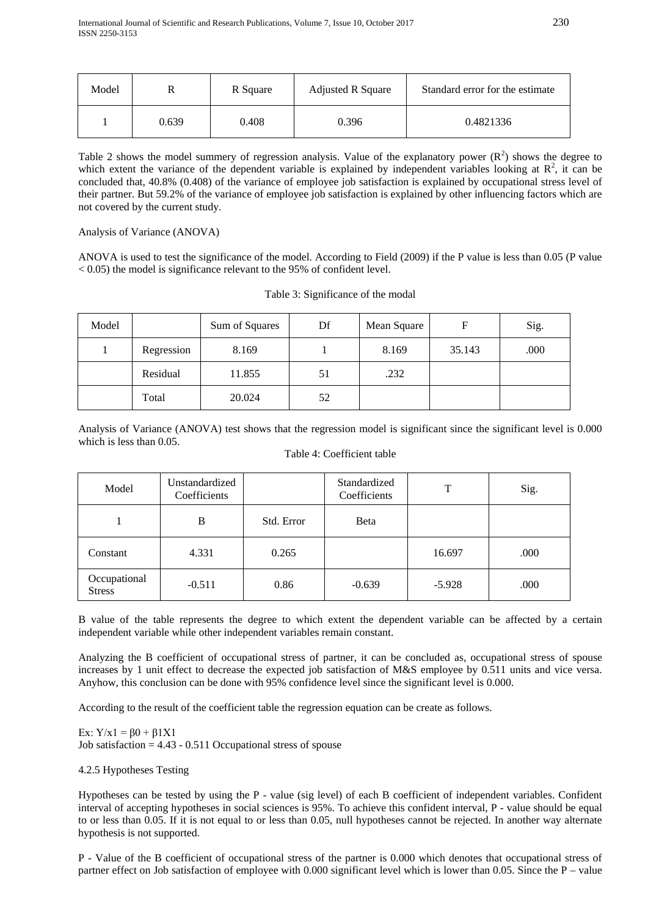| Model |       | R Square | <b>Adjusted R Square</b> | Standard error for the estimate |
|-------|-------|----------|--------------------------|---------------------------------|
|       | 0.639 | 0.408    | 0.396                    | 0.4821336                       |

Table 2 shows the model summery of regression analysis. Value of the explanatory power  $(R^2)$  shows the degree to which extent the variance of the dependent variable is explained by independent variables looking at  $\mathbb{R}^2$ , it can be concluded that, 40.8% (0.408) of the variance of employee job satisfaction is explained by occupational stress level of their partner. But 59.2% of the variance of employee job satisfaction is explained by other influencing factors which are not covered by the current study.

## Analysis of Variance (ANOVA)

ANOVA is used to test the significance of the model. According to Field (2009) if the P value is less than 0.05 (P value  $< 0.05$ ) the model is significance relevant to the 95% of confident level.

|  | Table 3: Significance of the modal |  |  |
|--|------------------------------------|--|--|
|  |                                    |  |  |

| Model |            | Sum of Squares | Df | Mean Square | F      | Sig. |
|-------|------------|----------------|----|-------------|--------|------|
|       | Regression | 8.169          |    | 8.169       | 35.143 | .000 |
|       | Residual   | 11.855         | 51 | .232        |        |      |
|       | Total      | 20.024         | 52 |             |        |      |

Analysis of Variance (ANOVA) test shows that the regression model is significant since the significant level is 0.000 which is less than 0.05.

# Table 4: Coefficient table

| Model                         | Unstandardized<br>Coefficients |            | Standardized<br>Coefficients | Т        | Sig. |
|-------------------------------|--------------------------------|------------|------------------------------|----------|------|
|                               | B                              | Std. Error | <b>B</b> eta                 |          |      |
| Constant                      | 4.331                          | 0.265      |                              | 16.697   | .000 |
| Occupational<br><b>Stress</b> | $-0.511$                       | 0.86       | $-0.639$                     | $-5.928$ | .000 |

B value of the table represents the degree to which extent the dependent variable can be affected by a certain independent variable while other independent variables remain constant.

Analyzing the B coefficient of occupational stress of partner, it can be concluded as, occupational stress of spouse increases by 1 unit effect to decrease the expected job satisfaction of M&S employee by 0.511 units and vice versa. Anyhow, this conclusion can be done with 95% confidence level since the significant level is 0.000.

According to the result of the coefficient table the regression equation can be create as follows.

Ex:  $Y/x1 = β0 + β1X1$ Job satisfaction  $= 4.43 - 0.511$  Occupational stress of spouse

# 4.2.5 Hypotheses Testing

Hypotheses can be tested by using the P - value (sig level) of each B coefficient of independent variables. Confident interval of accepting hypotheses in social sciences is 95%. To achieve this confident interval, P - value should be equal to or less than 0.05. If it is not equal to or less than 0.05, null hypotheses cannot be rejected. In another way alternate hypothesis is not supported.

P - Value of the B coefficient of occupational stress of the partner is 0.000 which denotes that occupational stress of partner effect on Job satisfaction of employee with 0.000 significant level which is lower than 0.05. Since the P – value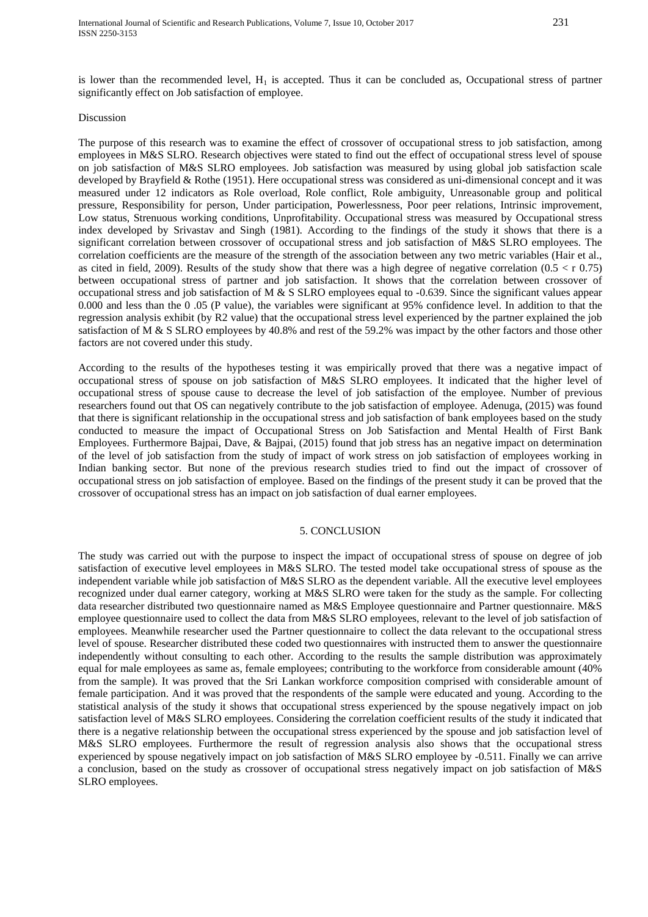is lower than the recommended level,  $H_1$  is accepted. Thus it can be concluded as, Occupational stress of partner significantly effect on Job satisfaction of employee.

#### Discussion

The purpose of this research was to examine the effect of crossover of occupational stress to job satisfaction, among employees in M&S SLRO. Research objectives were stated to find out the effect of occupational stress level of spouse on job satisfaction of M&S SLRO employees. Job satisfaction was measured by using global job satisfaction scale developed by Brayfield & Rothe (1951). Here occupational stress was considered as uni-dimensional concept and it was measured under 12 indicators as Role overload, Role conflict, Role ambiguity, Unreasonable group and political pressure, Responsibility for person, Under participation, Powerlessness, Poor peer relations, Intrinsic improvement, Low status, Strenuous working conditions, Unprofitability. Occupational stress was measured by Occupational stress index developed by Srivastav and Singh (1981). According to the findings of the study it shows that there is a significant correlation between crossover of occupational stress and job satisfaction of M&S SLRO employees. The correlation coefficients are the measure of the strength of the association between any two metric variables (Hair et al., as cited in field, 2009). Results of the study show that there was a high degree of negative correlation  $(0.5 < r 0.75)$ between occupational stress of partner and job satisfaction. It shows that the correlation between crossover of occupational stress and job satisfaction of M & S SLRO employees equal to -0.639. Since the significant values appear 0.000 and less than the 0 .05 (P value), the variables were significant at 95% confidence level. In addition to that the regression analysis exhibit (by R2 value) that the occupational stress level experienced by the partner explained the job satisfaction of M & S SLRO employees by 40.8% and rest of the 59.2% was impact by the other factors and those other factors are not covered under this study.

According to the results of the hypotheses testing it was empirically proved that there was a negative impact of occupational stress of spouse on job satisfaction of M&S SLRO employees. It indicated that the higher level of occupational stress of spouse cause to decrease the level of job satisfaction of the employee. Number of previous researchers found out that OS can negatively contribute to the job satisfaction of employee. Adenuga, (2015) was found that there is significant relationship in the occupational stress and job satisfaction of bank employees based on the study conducted to measure the impact of Occupational Stress on Job Satisfaction and Mental Health of First Bank Employees. Furthermore Bajpai, Dave, & Bajpai, (2015) found that job stress has an negative impact on determination of the level of job satisfaction from the study of impact of work stress on job satisfaction of employees working in Indian banking sector. But none of the previous research studies tried to find out the impact of crossover of occupational stress on job satisfaction of employee. Based on the findings of the present study it can be proved that the crossover of occupational stress has an impact on job satisfaction of dual earner employees.

#### 5. CONCLUSION

The study was carried out with the purpose to inspect the impact of occupational stress of spouse on degree of job satisfaction of executive level employees in M&S SLRO. The tested model take occupational stress of spouse as the independent variable while job satisfaction of M&S SLRO as the dependent variable. All the executive level employees recognized under dual earner category, working at M&S SLRO were taken for the study as the sample. For collecting data researcher distributed two questionnaire named as M&S Employee questionnaire and Partner questionnaire. M&S employee questionnaire used to collect the data from M&S SLRO employees, relevant to the level of job satisfaction of employees. Meanwhile researcher used the Partner questionnaire to collect the data relevant to the occupational stress level of spouse. Researcher distributed these coded two questionnaires with instructed them to answer the questionnaire independently without consulting to each other. According to the results the sample distribution was approximately equal for male employees as same as, female employees; contributing to the workforce from considerable amount (40% from the sample). It was proved that the Sri Lankan workforce composition comprised with considerable amount of female participation. And it was proved that the respondents of the sample were educated and young. According to the statistical analysis of the study it shows that occupational stress experienced by the spouse negatively impact on job satisfaction level of M&S SLRO employees. Considering the correlation coefficient results of the study it indicated that there is a negative relationship between the occupational stress experienced by the spouse and job satisfaction level of M&S SLRO employees. Furthermore the result of regression analysis also shows that the occupational stress experienced by spouse negatively impact on job satisfaction of M&S SLRO employee by -0.511. Finally we can arrive a conclusion, based on the study as crossover of occupational stress negatively impact on job satisfaction of M&S SLRO employees.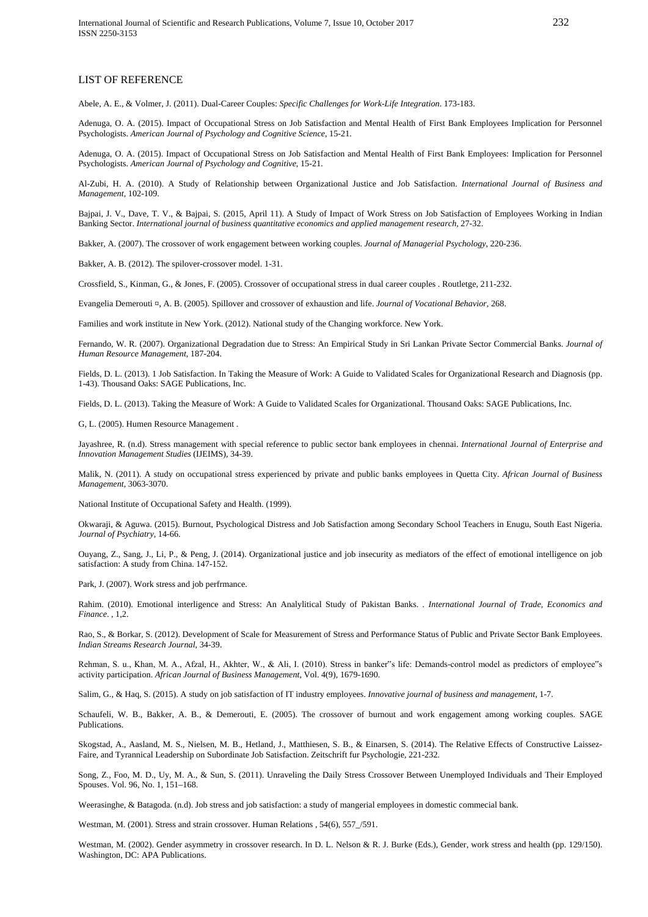#### LIST OF REFERENCE

Abele, A. E., & Volmer, J. (2011). Dual-Career Couples: *Specific Challenges for Work-Life Integration*. 173-183.

Adenuga, O. A. (2015). Impact of Occupational Stress on Job Satisfaction and Mental Health of First Bank Employees Implication for Personnel Psychologists. *American Journal of Psychology and Cognitive Science*, 15-21.

Adenuga, O. A. (2015). Impact of Occupational Stress on Job Satisfaction and Mental Health of First Bank Employees: Implication for Personnel Psychologists. *American Journal of Psychology and Cognitive*, 15-21.

Al-Zubi, H. A. (2010). A Study of Relationship between Organizational Justice and Job Satisfaction. *International Journal of Business and Management*, 102-109.

Bajpai, J. V., Dave, T. V., & Bajpai, S. (2015, April 11). A Study of Impact of Work Stress on Job Satisfaction of Employees Working in Indian Banking Sector. *International journal of business quantitative economics and applied management research*, 27-32.

Bakker, A. (2007). The crossover of work engagement between working couples. *Journal of Managerial Psychology*, 220-236.

Bakker, A. B. (2012). The spilover-crossover model. 1-31.

Crossfield, S., Kinman, G., & Jones, F. (2005). Crossover of occupational stress in dual career couples . Routletge, 211-232.

Evangelia Demerouti ¤, A. B. (2005). Spillover and crossover of exhaustion and life. *Journal of Vocational Behavior*, 268.

Families and work institute in New York. (2012). National study of the Changing workforce. New York.

Fernando, W. R. (2007). Organizational Degradation due to Stress: An Empirical Study in Sri Lankan Private Sector Commercial Banks. *Journal of Human Resource Management*, 187-204.

Fields, D. L. (2013). 1 Job Satisfaction. In Taking the Measure of Work: A Guide to Validated Scales for Organizational Research and Diagnosis (pp. 1-43). Thousand Oaks: SAGE Publications, Inc.

Fields, D. L. (2013). Taking the Measure of Work: A Guide to Validated Scales for Organizational. Thousand Oaks: SAGE Publications, Inc.

G, L. (2005). Humen Resource Management .

Jayashree, R. (n.d). Stress management with special reference to public sector bank employees in chennai. *International Journal of Enterprise and Innovation Management Studies* (IJEIMS), 34-39.

Malik, N. (2011). A study on occupational stress experienced by private and public banks employees in Quetta City. *African Journal of Business Management*, 3063-3070.

National Institute of Occupational Safety and Health. (1999).

Okwaraji, & Aguwa. (2015). Burnout, Psychological Distress and Job Satisfaction among Secondary School Teachers in Enugu, South East Nigeria. *Journal of Psychiatry*, 14-66.

Ouyang, Z., Sang, J., Li, P., & Peng, J. (2014). Organizational justice and job insecurity as mediators of the effect of emotional intelligence on job satisfaction: A study from China. 147-152.

Park, J. (2007). Work stress and job perfrmance.

Rahim. (2010). Emotional interligence and Stress: An Analylitical Study of Pakistan Banks. *. International Journal of Trade, Economics and Finance*. , 1,2.

Rao, S., & Borkar, S. (2012). Development of Scale for Measurement of Stress and Performance Status of Public and Private Sector Bank Employees. *Indian Streams Research Journal*, 34-39.

Rehman, S. u., Khan, M. A., Afzal, H., Akhter, W., & Ali, I. (2010). Stress in banker"s life: Demands-control model as predictors of employee"s activity participation. *African Journal of Business Management*, Vol. 4(9), 1679-1690.

Salim, G., & Haq, S. (2015). A study on job satisfaction of IT industry employees. *Innovative journal of business and management*, 1-7.

Schaufeli, W. B., Bakker, A. B., & Demerouti, E. (2005). The crossover of burnout and work engagement among working couples. SAGE Publications.

Skogstad, A., Aasland, M. S., Nielsen, M. B., Hetland, J., Matthiesen, S. B., & Einarsen, S. (2014). The Relative Effects of Constructive Laissez-Faire, and Tyrannical Leadership on Subordinate Job Satisfaction. Zeitschrift fur Psychologie, 221-232.

Song, Z., Foo, M. D., Uy, M. A., & Sun, S. (2011). Unraveling the Daily Stress Crossover Between Unemployed Individuals and Their Employed Spouses. Vol. 96, No. 1, 151–168.

Weerasinghe, & Batagoda. (n.d). Job stress and job satisfaction: a study of mangerial employees in domestic commecial bank.

Westman, M. (2001). Stress and strain crossover. Human Relations , 54(6), 557\_/591.

Westman, M. (2002). Gender asymmetry in crossover research. In D. L. Nelson & R. J. Burke (Eds.), Gender, work stress and health (pp. 129/150). Washington, DC: APA Publications.